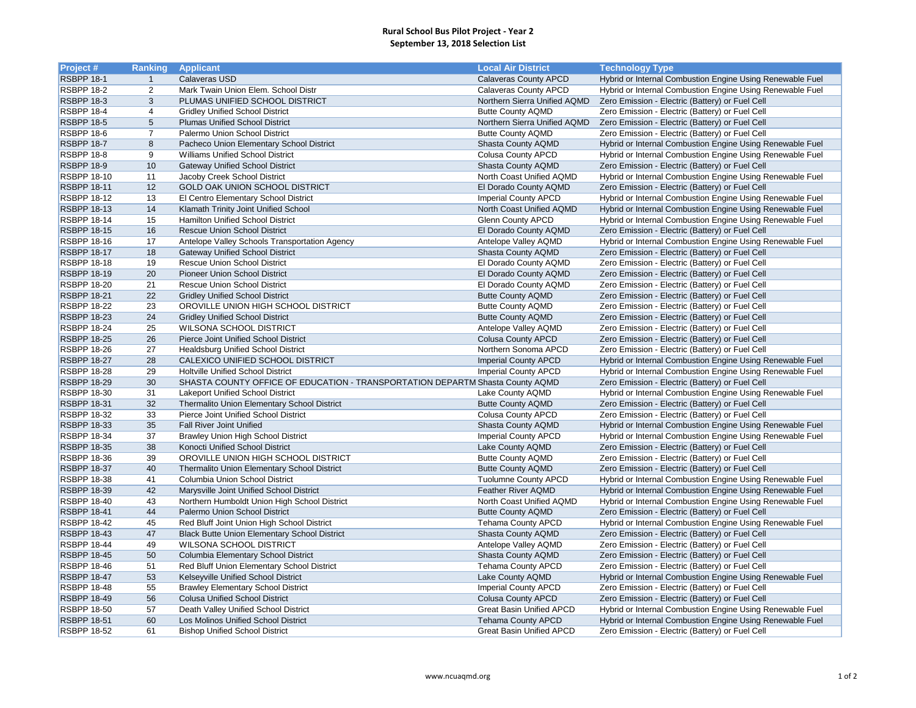## **Rural School Bus Pilot Project - Year 2 September 13, 2018 Selection List**

| <b>Project #</b>   | <b>Ranking</b> | <b>Applicant</b>                                                              | <b>Local Air District</b>       | <b>Technology Type</b>                                    |
|--------------------|----------------|-------------------------------------------------------------------------------|---------------------------------|-----------------------------------------------------------|
| <b>RSBPP 18-1</b>  |                | <b>Calaveras USD</b>                                                          | <b>Calaveras County APCD</b>    | Hybrid or Internal Combustion Engine Using Renewable Fuel |
| <b>RSBPP 18-2</b>  | $\overline{2}$ | Mark Twain Union Elem. School Distr                                           | <b>Calaveras County APCD</b>    | Hybrid or Internal Combustion Engine Using Renewable Fuel |
| <b>RSBPP 18-3</b>  | 3              | PLUMAS UNIFIED SCHOOL DISTRICT                                                | Northern Sierra Unified AQMD    | Zero Emission - Electric (Battery) or Fuel Cell           |
| <b>RSBPP 18-4</b>  | 4              | <b>Gridley Unified School District</b>                                        | <b>Butte County AQMD</b>        | Zero Emission - Electric (Battery) or Fuel Cell           |
| <b>RSBPP 18-5</b>  | 5              | <b>Plumas Unified School District</b>                                         | Northern Sierra Unified AQMD    | Zero Emission - Electric (Battery) or Fuel Cell           |
| <b>RSBPP 18-6</b>  | $\overline{7}$ | <b>Palermo Union School District</b>                                          | <b>Butte County AQMD</b>        | Zero Emission - Electric (Battery) or Fuel Cell           |
| <b>RSBPP 18-7</b>  | 8              | Pacheco Union Elementary School District                                      | <b>Shasta County AQMD</b>       | Hybrid or Internal Combustion Engine Using Renewable Fuel |
| <b>RSBPP 18-8</b>  | 9              | <b>Williams Unified School District</b>                                       | <b>Colusa County APCD</b>       | Hybrid or Internal Combustion Engine Using Renewable Fuel |
| <b>RSBPP 18-9</b>  | 10             | <b>Gateway Unified School District</b>                                        | <b>Shasta County AQMD</b>       | Zero Emission - Electric (Battery) or Fuel Cell           |
| <b>RSBPP 18-10</b> | 11             | Jacoby Creek School District                                                  | North Coast Unified AQMD        | Hybrid or Internal Combustion Engine Using Renewable Fuel |
| <b>RSBPP 18-11</b> | 12             | <b>GOLD OAK UNION SCHOOL DISTRICT</b>                                         | El Dorado County AQMD           | Zero Emission - Electric (Battery) or Fuel Cell           |
| <b>RSBPP 18-12</b> | 13             | El Centro Elementary School District                                          | <b>Imperial County APCD</b>     | Hybrid or Internal Combustion Engine Using Renewable Fuel |
| <b>RSBPP 18-13</b> | 14             | Klamath Trinity Joint Unified School                                          | North Coast Unified AQMD        | Hybrid or Internal Combustion Engine Using Renewable Fuel |
| <b>RSBPP 18-14</b> | 15             | <b>Hamilton Unified School District</b>                                       | <b>Glenn County APCD</b>        | Hybrid or Internal Combustion Engine Using Renewable Fuel |
| <b>RSBPP 18-15</b> | 16             | <b>Rescue Union School District</b>                                           | El Dorado County AQMD           | Zero Emission - Electric (Battery) or Fuel Cell           |
| <b>RSBPP 18-16</b> | 17             | Antelope Valley Schools Transportation Agency                                 | Antelope Valley AQMD            | Hybrid or Internal Combustion Engine Using Renewable Fuel |
| <b>RSBPP 18-17</b> | 18             | <b>Gateway Unified School District</b>                                        | <b>Shasta County AQMD</b>       | Zero Emission - Electric (Battery) or Fuel Cell           |
| <b>RSBPP 18-18</b> | 19             | <b>Rescue Union School District</b>                                           | El Dorado County AQMD           | Zero Emission - Electric (Battery) or Fuel Cell           |
| <b>RSBPP 18-19</b> | 20             | <b>Pioneer Union School District</b>                                          | El Dorado County AQMD           | Zero Emission - Electric (Battery) or Fuel Cell           |
| <b>RSBPP 18-20</b> | 21             | <b>Rescue Union School District</b>                                           | El Dorado County AQMD           | Zero Emission - Electric (Battery) or Fuel Cell           |
| <b>RSBPP 18-21</b> | 22             | <b>Gridley Unified School District</b>                                        | <b>Butte County AQMD</b>        | Zero Emission - Electric (Battery) or Fuel Cell           |
| <b>RSBPP 18-22</b> | 23             | OROVILLE UNION HIGH SCHOOL DISTRICT                                           | <b>Butte County AQMD</b>        | Zero Emission - Electric (Battery) or Fuel Cell           |
| <b>RSBPP 18-23</b> | 24             | <b>Gridley Unified School District</b>                                        | <b>Butte County AQMD</b>        | Zero Emission - Electric (Battery) or Fuel Cell           |
| <b>RSBPP 18-24</b> | 25             | <b>WILSONA SCHOOL DISTRICT</b>                                                | Antelope Valley AQMD            | Zero Emission - Electric (Battery) or Fuel Cell           |
| <b>RSBPP 18-25</b> | 26             | <b>Pierce Joint Unified School District</b>                                   | <b>Colusa County APCD</b>       | Zero Emission - Electric (Battery) or Fuel Cell           |
| <b>RSBPP 18-26</b> | 27             | <b>Healdsburg Unified School District</b>                                     | Northern Sonoma APCD            | Zero Emission - Electric (Battery) or Fuel Cell           |
| <b>RSBPP 18-27</b> | 28             | CALEXICO UNIFIED SCHOOL DISTRICT                                              | <b>Imperial County APCD</b>     | Hybrid or Internal Combustion Engine Using Renewable Fuel |
| <b>RSBPP 18-28</b> | 29             | <b>Holtville Unified School District</b>                                      | <b>Imperial County APCD</b>     | Hybrid or Internal Combustion Engine Using Renewable Fuel |
| <b>RSBPP 18-29</b> | 30             | SHASTA COUNTY OFFICE OF EDUCATION - TRANSPORTATION DEPARTM Shasta County AQMD |                                 | Zero Emission - Electric (Battery) or Fuel Cell           |
| <b>RSBPP 18-30</b> | 31             | <b>Lakeport Unified School District</b>                                       | Lake County AQMD                | Hybrid or Internal Combustion Engine Using Renewable Fuel |
| <b>RSBPP 18-31</b> | 32             | <b>Thermalito Union Elementary School District</b>                            | <b>Butte County AQMD</b>        | Zero Emission - Electric (Battery) or Fuel Cell           |
| <b>RSBPP 18-32</b> | 33             | <b>Pierce Joint Unified School District</b>                                   | <b>Colusa County APCD</b>       | Zero Emission - Electric (Battery) or Fuel Cell           |
| <b>RSBPP 18-33</b> | 35             | <b>Fall River Joint Unified</b>                                               | <b>Shasta County AQMD</b>       | Hybrid or Internal Combustion Engine Using Renewable Fuel |
| <b>RSBPP 18-34</b> | 37             | <b>Brawley Union High School District</b>                                     | <b>Imperial County APCD</b>     | Hybrid or Internal Combustion Engine Using Renewable Fuel |
| <b>RSBPP 18-35</b> | 38             | <b>Konocti Unified School District</b>                                        | Lake County AQMD                | Zero Emission - Electric (Battery) or Fuel Cell           |
| <b>RSBPP 18-36</b> | 39             | OROVILLE UNION HIGH SCHOOL DISTRICT                                           | <b>Butte County AQMD</b>        | Zero Emission - Electric (Battery) or Fuel Cell           |
| <b>RSBPP 18-37</b> | 40             | <b>Thermalito Union Elementary School District</b>                            | <b>Butte County AQMD</b>        | Zero Emission - Electric (Battery) or Fuel Cell           |
| <b>RSBPP 18-38</b> | 41             | <b>Columbia Union School District</b>                                         | <b>Tuolumne County APCD</b>     | Hybrid or Internal Combustion Engine Using Renewable Fuel |
| <b>RSBPP 18-39</b> | 42             | Marysville Joint Unified School District                                      | <b>Feather River AQMD</b>       | Hybrid or Internal Combustion Engine Using Renewable Fuel |
| <b>RSBPP 18-40</b> | 43             | Northern Humboldt Union High School District                                  | North Coast Unified AQMD        | Hybrid or Internal Combustion Engine Using Renewable Fuel |
| <b>RSBPP 18-41</b> | 44             | Palermo Union School District                                                 | <b>Butte County AQMD</b>        | Zero Emission - Electric (Battery) or Fuel Cell           |
| <b>RSBPP 18-42</b> | 45             | Red Bluff Joint Union High School District                                    | <b>Tehama County APCD</b>       | Hybrid or Internal Combustion Engine Using Renewable Fuel |
| <b>RSBPP 18-43</b> | 47             | <b>Black Butte Union Elementary School District</b>                           | <b>Shasta County AQMD</b>       | Zero Emission - Electric (Battery) or Fuel Cell           |
| <b>RSBPP 18-44</b> | 49             | <b>WILSONA SCHOOL DISTRICT</b>                                                | Antelope Valley AQMD            | Zero Emission - Electric (Battery) or Fuel Cell           |
| <b>RSBPP 18-45</b> | 50             | <b>Columbia Elementary School District</b>                                    | <b>Shasta County AQMD</b>       | Zero Emission - Electric (Battery) or Fuel Cell           |
| <b>RSBPP 18-46</b> | 51             | Red Bluff Union Elementary School District                                    | <b>Tehama County APCD</b>       | Zero Emission - Electric (Battery) or Fuel Cell           |
| <b>RSBPP 18-47</b> | 53             | Kelseyville Unified School District                                           | Lake County AQMD                | Hybrid or Internal Combustion Engine Using Renewable Fuel |
| <b>RSBPP 18-48</b> | 55             | <b>Brawley Elementary School District</b>                                     | <b>Imperial County APCD</b>     | Zero Emission - Electric (Battery) or Fuel Cell           |
| <b>RSBPP 18-49</b> | 56             | <b>Colusa Unified School District</b>                                         | <b>Colusa County APCD</b>       | Zero Emission - Electric (Battery) or Fuel Cell           |
| <b>RSBPP 18-50</b> | 57             | Death Valley Unified School District                                          | <b>Great Basin Unified APCD</b> | Hybrid or Internal Combustion Engine Using Renewable Fuel |
| <b>RSBPP 18-51</b> | 60             | <b>Los Molinos Unified School District</b>                                    | <b>Tehama County APCD</b>       | Hybrid or Internal Combustion Engine Using Renewable Fuel |
| <b>RSBPP 18-52</b> | 61             | <b>Bishop Unified School District</b>                                         | <b>Great Basin Unified APCD</b> | Zero Emission - Electric (Battery) or Fuel Cell           |
|                    |                |                                                                               |                                 |                                                           |